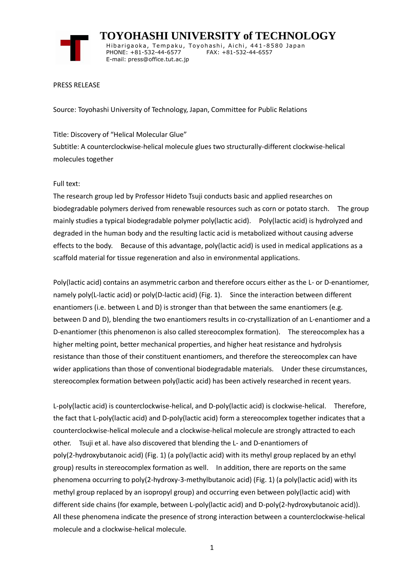

 **TOYOHASHI UNIVERSITY of TECHNOLOGY** Hibarigaoka, Tempaku, Toyohashi, Aichi, 441-8580 Japan PHONE: +81-532-44-6577 FAX: +81-532-44-6557 E-mail: press@office.tut.ac.jp

#### PRESS RELEASE

Source: Toyohashi University of Technology, Japan, Committee for Public Relations

Title: Discovery of "Helical Molecular Glue" Subtitle: A counterclockwise-helical molecule glues two structurally-different clockwise-helical molecules together

### Full text:

The research group led by Professor Hideto Tsuji conducts basic and applied researches on biodegradable polymers derived from renewable resources such as corn or potato starch. The group mainly studies a typical biodegradable polymer poly(lactic acid). Poly(lactic acid) is hydrolyzed and degraded in the human body and the resulting lactic acid is metabolized without causing adverse effects to the body. Because of this advantage, poly(lactic acid) is used in medical applications as a scaffold material for tissue regeneration and also in environmental applications.

Poly(lactic acid) contains an asymmetric carbon and therefore occurs either as the L- or D-enantiomer, namely poly(L-lactic acid) or poly(D-lactic acid) (Fig. 1). Since the interaction between different enantiomers (i.e. between L and D) is stronger than that between the same enantiomers (e.g. between D and D), blending the two enantiomers results in co-crystallization of an L-enantiomer and a D-enantiomer (this phenomenon is also called stereocomplex formation). The stereocomplex has a higher melting point, better mechanical properties, and higher heat resistance and hydrolysis resistance than those of their constituent enantiomers, and therefore the stereocomplex can have wider applications than those of conventional biodegradable materials. Under these circumstances, stereocomplex formation between poly(lactic acid) has been actively researched in recent years.

L-poly(lactic acid) is counterclockwise-helical, and D-poly(lactic acid) is clockwise-helical. Therefore, the fact that L-poly(lactic acid) and D-poly(lactic acid) form a stereocomplex together indicates that a counterclockwise-helical molecule and a clockwise-helical molecule are strongly attracted to each other. Tsuji et al. have also discovered that blending the L- and D-enantiomers of poly(2-hydroxybutanoic acid) (Fig. 1) (a poly(lactic acid) with its methyl group replaced by an ethyl group) results in stereocomplex formation as well. In addition, there are reports on the same phenomena occurring to poly(2-hydroxy-3-methylbutanoic acid) (Fig. 1) (a poly(lactic acid) with its methyl group replaced by an isopropyl group) and occurring even between poly(lactic acid) with different side chains (for example, between L-poly(lactic acid) and D-poly(2-hydroxybutanoic acid)). All these phenomena indicate the presence of strong interaction between a counterclockwise-helical molecule and a clockwise-helical molecule.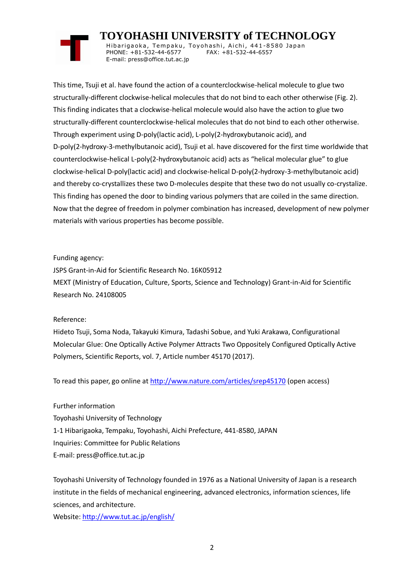# **TOYOHASHI UNIVERSITY of TECHNOLOGY**

Hibarigaoka, Tempaku, Toyohashi, Aichi, 441-8580 Japan PHONE: +81-532-44-6577 FAX: +81-532-44-6557 E-mail: press@office.tut.ac.jp

This time, Tsuji et al. have found the action of a counterclockwise-helical molecule to glue two structurally-different clockwise-helical molecules that do not bind to each other otherwise (Fig. 2). This finding indicates that a clockwise-helical molecule would also have the action to glue two structurally-different counterclockwise-helical molecules that do not bind to each other otherwise. Through experiment using D-poly(lactic acid), L-poly(2-hydroxybutanoic acid), and D-poly(2-hydroxy-3-methylbutanoic acid), Tsuji et al. have discovered for the first time worldwide that counterclockwise-helical L-poly(2-hydroxybutanoic acid) acts as "helical molecular glue" to glue clockwise-helical D-poly(lactic acid) and clockwise-helical D-poly(2-hydroxy-3-methylbutanoic acid) and thereby co-crystallizes these two D-molecules despite that these two do not usually co-crystalize. This finding has opened the door to binding various polymers that are coiled in the same direction. Now that the degree of freedom in polymer combination has increased, development of new polymer materials with various properties has become possible.

### Funding agency:

JSPS Grant-in-Aid for Scientific Research No. 16K05912 MEXT (Ministry of Education, Culture, Sports, Science and Technology) Grant-in-Aid for Scientific Research No. 24108005

## Reference:

Hideto Tsuji, Soma Noda, Takayuki Kimura, Tadashi Sobue, and Yuki Arakawa, Configurational Molecular Glue: One Optically Active Polymer Attracts Two Oppositely Configured Optically Active Polymers, Scientific Reports, vol. 7, Article number 45170 (2017).

To read this paper, go online at<http://www.nature.com/articles/srep45170> (open access)

Further information

Toyohashi University of Technology

1-1 Hibarigaoka, Tempaku, Toyohashi, Aichi Prefecture, 441-8580, JAPAN

Inquiries: Committee for Public Relations

E-mail: press@office.tut.ac.jp

Toyohashi University of Technology founded in 1976 as a National University of Japan is a research institute in the fields of mechanical engineering, advanced electronics, information sciences, life sciences, and architecture.

Website[: http://www.tut.ac.jp/english/](http://www.tut.ac.jp/english/)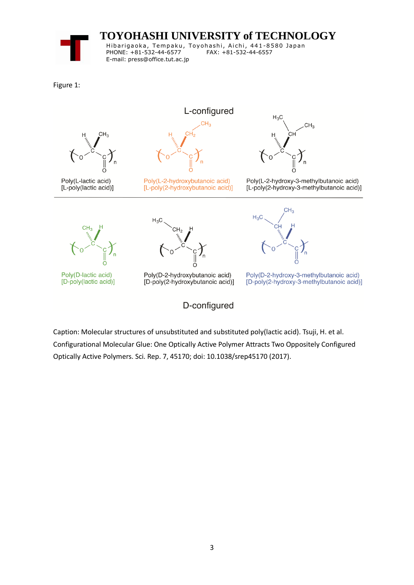**TOYOHASHI UNIVERSITY of TECHNOLOGY** Hibarigaoka, Tempaku, Toyohashi, Aichi, 441-8580 Japan PHONE: +81-532-44-6577 FAX: +81-532-44-6557 E-mail: press@office.tut.ac.jp

Figure 1:



Caption: Molecular structures of unsubstituted and substituted poly(lactic acid). Tsuji, H. et al. Configurational Molecular Glue: One Optically Active Polymer Attracts Two Oppositely Configured Optically Active Polymers. Sci. Rep. 7, 45170; doi: 10.1038/srep45170 (2017).